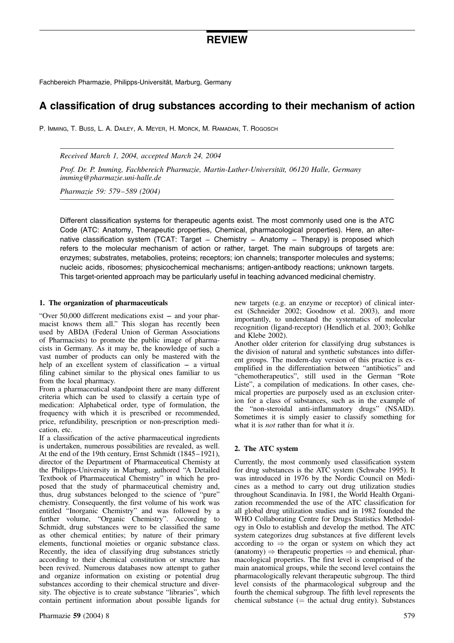# REVIEW

Fachbereich Pharmazie, Philipps-Universität, Marburg, Germany

## A classification of drug substances according to their mechanism of action

P. Imming, T. Buss, L. A. Dailey, A. Meyer, H. Morck, M. Ramadan, T. Rogosch

Received March 1, 2004, accepted March 24, 2004

Prof. Dr. P. Imming, Fachbereich Pharmazie, Martin-Luther-Universität, 06120 Halle, Germany imming@pharmazie.uni-halle.de

Pharmazie 59: 579–589 (2004)

Different classification systems for therapeutic agents exist. The most commonly used one is the ATC Code (ATC: Anatomy, Therapeutic properties, Chemical, pharmacological properties). Here, an alternative classification system (TCAT: Target – Chemistry – Anatomy – Therapy) is proposed which refers to the molecular mechanism of action or rather, target. The main subgroups of targets are: enzymes; substrates, metabolies, proteins; receptors; ion channels; transporter molecules and systems; nucleic acids, ribosomes; physicochemical mechanisms; antigen-antibody reactions; unknown targets. This target-oriented approach may be particularly useful in teaching advanced medicinal chemistry.

#### 1. The organization of pharmaceuticals

"Over 50,000 different medications exist –– and your pharmacist knows them all." This slogan has recently been used by ABDA (Federal Union of German Associations of Pharmacists) to promote the public image of pharmacists in Germany. As it may be, the knowledge of such a vast number of products can only be mastered with the help of an excellent system of classification  $-$  a virtual filing cabinet similar to the physical ones familiar to us from the local pharmacy.

From a pharmaceutical standpoint there are many different criteria which can be used to classify a certain type of medication: Alphabetical order, type of formulation, the frequency with which it is prescribed or recommended, price, refundibility, prescription or non-prescription medication, etc.

If a classification of the active pharmaceutical ingredients is undertaken, numerous possibilities are revealed, as well. At the end of the 19th century, Ernst Schmidt (1845–1921), director of the Department of Pharmaceutical Chemisty at the Philipps-University in Marburg, authored "A Detailed Textbook of Pharmaceutical Chemistry" in which he proposed that the study of pharmaceutical chemistry and, thus, drug substances belonged to the science of "pure" chemistry. Consequently, the first volume of his work was entitled "Inorganic Chemistry" and was followed by a further volume, "Organic Chemistry". According to Schmidt, drug substances were to be classified the same as other chemical entities; by nature of their primary elements, functional moieties or organic substance class. Recently, the idea of classifying drug substances strictly according to their chemical constitution or structure has been revived. Numerous databases now attempt to gather and organize information on existing or potential drug substances according to their chemical structure and diversity. The objective is to create substance "libraries", which contain pertinent information about possible ligands for new targets (e.g. an enzyme or receptor) of clinical interest (Schneider 2002; Goodnow et al. 2003), and more importantly, to understand the systematics of molecular recognition (ligand-receptor) (Hendlich et al. 2003; Gohlke and Klebe 2002).

Another older criterion for classifying drug substances is the division of natural and synthetic substances into different groups. The modern-day version of this practice is exemplified in the differentiation between "antibiotics" and "chemotherapeutics", still used in the German "Rote Liste", a compilation of medications. In other cases, chemical properties are purposely used as an exclusion criterion for a class of substances, such as in the example of the "non-steroidal anti-inflammatory drugs" (NSAID). Sometimes it is simply easier to classify something for what it is *not* rather than for what it is.

### 2. The ATC system

Currently, the most commonly used classification system for drug substances is the ATC system (Schwabe 1995). It was introduced in 1976 by the Nordic Council on Medicines as a method to carry out drug utilization studies throughout Scandinavia. In 1981, the World Health Organization recommended the use of the ATC classification for all global drug utilization studies and in 1982 founded the WHO Collaborating Centre for Drugs Statistics Methodology in Oslo to establish and develop the method. The ATC system categorizes drug substances at five different levels according to  $\Rightarrow$  the organ or system on which they act (anatomy)  $\Rightarrow$  therapeutic properties  $\Rightarrow$  and chemical, pharmacological properties. The first level is comprised of the main anatomical groups, while the second level contains the pharmacologically relevant therapeutic subgroup. The third level consists of the pharmacological subgroup and the fourth the chemical subgroup. The fifth level represents the chemical substance  $($  = the actual drug entity). Substances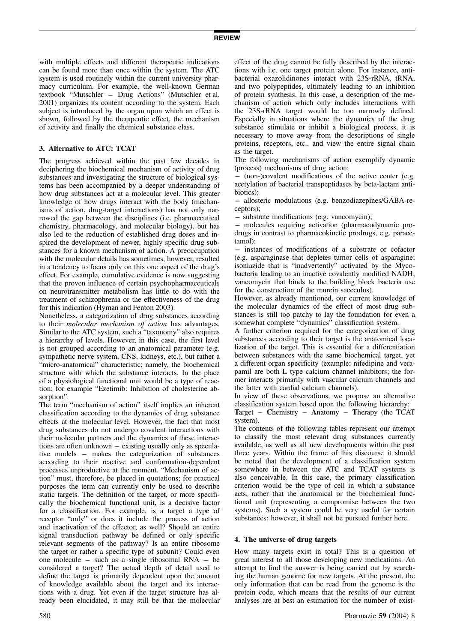with multiple effects and different therapeutic indications can be found more than once within the system. The ATC system is used routinely within the current university pharmacy curriculum. For example, the well-known German textbook "Mutschler –– Drug Actions" (Mutschler et al. 2001) organizes its content according to the system. Each subject is introduced by the organ upon which an effect is shown, followed by the therapeutic effect, the mechanism of activity and finally the chemical substance class.

### 3. Alternative to ATC: TCAT

The progress achieved within the past few decades in deciphering the biochemical mechanism of activity of drug substances and investigating the structure of biological systems has been accompanied by a deeper understanding of how drug substances act at a molecular level. This greater knowledge of how drugs interact with the body (mechanisms of action, drug-target interactions) has not only narrowed the gap between the disciplines (i.e. pharmaceutical chemistry, pharmacology, and molecular biology), but has also led to the reduction of established drug doses and inspired the development of newer, highly specific drug substances for a known mechanism of action. A preoccupation with the molecular details has sometimes, however, resulted in a tendency to focus only on this one aspect of the drug's effect. For example, cumulative evidence is now suggesting that the proven influence of certain psychopharmaceuticals on neurotransmitter metabolism has little to do with the treatment of schizophrenia or the effectiveness of the drug for this indication (Hyman and Fenton 2003).

Nonetheless, a categorization of drug substances according to their molecular mechanism of action has advantages. Similar to the ATC system, such a "taxonomy" also requires a hierarchy of levels. However, in this case, the first level is not grouped according to an anatomical parameter (e.g. sympathetic nerve system, CNS, kidneys, etc.), but rather a "micro-anatomical" characteristic; namely, the biochemical structure with which the substance interacts. In the place of a physiological functional unit would be a type of reaction; for example "Ezetimib: Inhibition of cholesterine absorption".

The term "mechanism of action" itself implies an inherent classification according to the dynamics of drug substance effects at the molecular level. However, the fact that most drug substances do not undergo covalent interactions with their molecular partners and the dynamics of these interactions are often unknown – existing usually only as speculative models –– makes the categorization of substances according to their reactive and conformation-dependent processes unproductive at the moment. "Mechanism of action" must, therefore, be placed in quotations; for practical purposes the term can currently only be used to describe static targets. The definition of the target, or more specifically the biochemical functional unit, is a decisive factor for a classification. For example, is a target a type of receptor "only" or does it include the process of action and inactivation of the effector, as well? Should an entire signal transduction pathway be defined or only specific relevant segments of the pathway? Is an entire ribosome the target or rather a specific type of subunit? Could even one molecule – such as a single ribosomal  $RNA - be$ considered a target? The actual depth of detail used to define the target is primarily dependent upon the amount of knowledge available about the target and its interactions with a drug. Yet even if the target structure has already been elucidated, it may still be that the molecular

effect of the drug cannot be fully described by the interactions with i.e. one target protein alone. For instance, antibacterial oxazolidinones interact with 23S-rRNA, tRNA, and two polypeptides, ultimately leading to an inhibition of protein synthesis. In this case, a description of the mechanism of action which only includes interactions with the 23S-rRNA target would be too narrowly defined. Especially in situations where the dynamics of the drug substance stimulate or inhibit a biological process, it is necessary to move away from the descriptions of single proteins, receptors, etc., and view the entire signal chain as the target.

The following mechanisms of action exemplify dynamic (process) mechanisms of drug action:

–– (non-)covalent modifications of the active center (e.g. acetylation of bacterial transpeptidases by beta-lactam antibiotics);

–– allosteric modulations (e.g. benzodiazepines/GABA-receptors);

–– substrate modifications (e.g. vancomycin);

–– molecules requiring activation (pharmacodynamic prodrugs in contrast to pharmacokinetic prodrugs, e.g. paracetamol);

–– instances of modifications of a substrate or cofactor (e.g. asparaginase that depletes tumor cells of asparagine; isoniazide that is "inadvertently" activated by the Mycobacteria leading to an inactive covalently modified NADH; vancomycin that binds to the building block bacteria use for the construction of the murein saccculus).

However, as already mentioned, our current knowledge of the molecular dynamics of the effect of most drug substances is still too patchy to lay the foundation for even a somewhat complete "dynamics" classification system.

A further criterion required for the categorization of drug substances according to their target is the anatomical localization of the target. This is essential for a differentiation between substances with the same biochemical target, yet a different organ specificity (example: nifedipine and verapamil are both L type calcium channel inhibitors; the former interacts primarily with vascular calcium channels and the latter with cardial calcium channels).

In view of these observations, we propose an alternative classification system based upon the following hierarchy:

Target – Chemistry – Anatomy – Therapy (the TCAT system).

The contents of the following tables represent our attempt to classify the most relevant drug substances currently available, as well as all new developments within the past three years. Within the frame of this discourse it should be noted that the development of a classification system somewhere in between the ATC and TCAT systems is also conceivable. In this case, the primary classification criterion would be the type of cell in which a substance acts, rather that the anatomical or the biochemical functional unit (representing a compromise between the two systems). Such a system could be very useful for certain substances; however, it shall not be pursued further here.

### 4. The universe of drug targets

How many targets exist in total? This is a question of great interest to all those developing new medications. An attempt to find the answer is being carried out by searching the human genome for new targets. At the present, the only information that can be read from the genome is the protein code, which means that the results of our current analyses are at best an estimation for the number of exist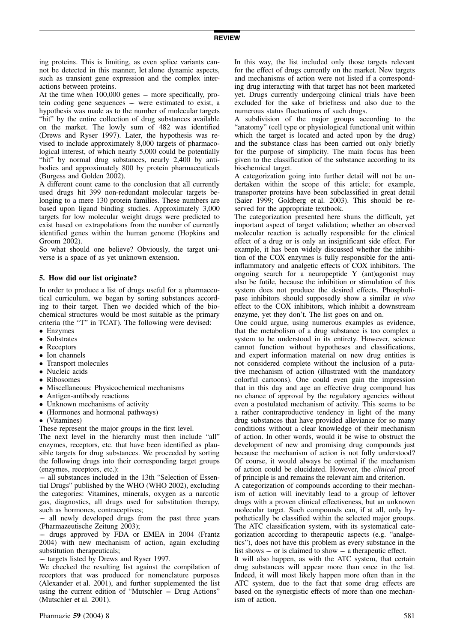ing proteins. This is limiting, as even splice variants cannot be detected in this manner, let alone dynamic aspects, such as transient gene expression and the complex interactions between proteins.

At the time when 100,000 genes – more specifically, protein coding gene sequences –– were estimated to exist, a hypothesis was made as to the number of molecular targets "hit" by the entire collection of drug substances available on the market. The lowly sum of 482 was identified (Drews and Ryser 1997). Later, the hypothesis was revised to include approximately 8,000 targets of pharmacological interest, of which nearly 5,000 could be potentially "hit" by normal drug substances, nearly 2,400 by antibodies and approximately 800 by protein pharmaceuticals (Burgess and Golden 2002).

A different count came to the conclusion that all currently used drugs hit 399 non-redundant molecular targets belonging to a mere 130 protein families. These numbers are based upon ligand binding studies. Approximately 3,000 targets for low molecular weight drugs were predicted to exist based on extrapolations from the number of currently identified genes within the human genome (Hopkins and Groom 2002).

So what should one believe? Obviously, the target universe is a space of as yet unknown extension.

### 5. How did our list originate?

In order to produce a list of drugs useful for a pharmaceutical curriculum, we began by sorting substances according to their target. Then we decided which of the biochemical structures would be most suitable as the primary criteria (the "T" in TCAT). The following were devised:

- Enzymes
- Substrates
- Receptors
- Ion channels
- Transport molecules
- Nucleic acids
- Ribosomes
- Miscellaneous: Physicochemical mechanisms
- Antigen-antibody reactions
- Unknown mechanisms of activity
- (Hormones and hormonal pathways)

(Vitamines)

These represent the major groups in the first level.

The next level in the hierarchy must then include "all" enzymes, receptors, etc. that have been identified as plausible targets for drug substances. We proceeded by sorting the following drugs into their corresponding target groups (enzymes, receptors, etc.):

–– all substances included in the 13th "Selection of Essential Drugs" published by the WHO (WHO 2002), excluding the categories: Vitamines, minerals, oxygen as a narcotic gas, diagnostics, all drugs used for substitution therapy, such as hormones, contraceptives;

–– all newly developed drugs from the past three years (Pharmazeutische Zeitung 2003);

–– drugs approved by FDA or EMEA in 2004 (Frantz 2004) with new mechanism of action, again excluding substitution therapeuticals;

–– targets listed by Drews and Ryser 1997.

We checked the resulting list against the compilation of receptors that was produced for nomenclature purposes (Alexander et al. 2001), and further supplemented the list using the current edition of "Mutschler –– Drug Actions" (Mutschler et al. 2001).

In this way, the list included only those targets relevant for the effect of drugs currently on the market. New targets and mechanisms of action were not listed if a corresponding drug interacting with that target has not been marketed yet. Drugs currently undergoing clinical trials have been excluded for the sake of briefness and also due to the numerous status fluctuations of such drugs.

A subdivision of the major groups according to the "anatomy" (cell type or physiological functional unit within which the target is located and acted upon by the drug) and the substance class has been carried out only briefly for the purpose of simplicity. The main focus has been given to the classification of the substance according to its biochemical target.

A categorization going into further detail will not be undertaken within the scope of this article; for example, transporter proteins have been subclassified in great detail (Saier 1999; Goldberg et al. 2003). This should be reserved for the appropriate textbook.

The categorization presented here shuns the difficult, yet important aspect of target validation; whether an observed molecular reaction is actually responsible for the clinical effect of a drug or is only an insignificant side effect. For example, it has been widely discussed whether the inhibition of the COX enzymes is fully responsible for the antiinflammatory and analgetic effects of COX inhibitors. The ongoing search for a neuropeptide Y (ant)agonist may also be futile, because the inhibition or stimulation of this system does not produce the desired effects. Phospholipase inhibitors should supposedly show a similar in vivo effect to the COX inhibitors, which inhibit a downstream enzyme, yet they don't. The list goes on and on.

One could argue, using numerous examples as evidence, that the metabolism of a drug substance is too complex a system to be understood in its entirety. However, science cannot function without hypotheses and classifications, and expert information material on new drug entities is not considered complete without the inclusion of a putative mechanism of action (illustrated with the mandatory colorful cartoons). One could even gain the impression that in this day and age an effective drug compound has no chance of approval by the regulatory agencies without even a postulated mechanism of activity. This seems to be a rather contraproductive tendency in light of the many drug substances that have provided alleviance for so many conditions without a clear knowledge of their mechanism of action. In other words, would it be wise to obstruct the development of new and promising drug compounds just because the mechanism of action is not fully understood? Of course, it would always be optimal if the mechanism of action could be elucidated. However, the clinical proof of principle is and remains the relevant aim and criterion.

A categorization of compounds according to their mechanism of action will inevitably lead to a group of leftover drugs with a proven clinical effectiveness, but an unknown molecular target. Such compounds can, if at all, only hypothetically be classified within the selected major groups. The ATC classification system, with its systematical categorization according to therapeutic aspects (e.g. "analgetics"), does not have this problem as every substance in the list shows  $-$  or is claimed to show  $-$  a therapeutic effect.

It will also happen, as with the ATC system, that certain drug substances will appear more than once in the list. Indeed, it will most likely happen more often than in the ATC system, due to the fact that some drug effects are based on the synergistic effects of more than one mechanism of action.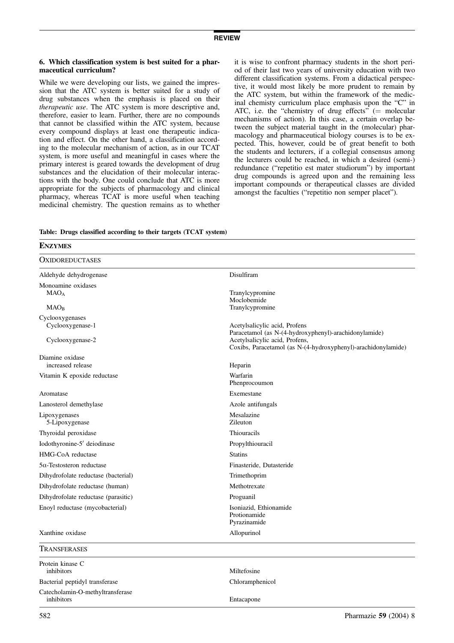#### 6. Which classification system is best suited for a pharmaceutical curriculum?

While we were developing our lists, we gained the impression that the ATC system is better suited for a study of drug substances when the emphasis is placed on their therapeutic use. The ATC system is more descriptive and, therefore, easier to learn. Further, there are no compounds that cannot be classified within the ATC system, because every compound displays at least one therapeutic indication and effect. On the other hand, a classification according to the molecular mechanism of action, as in our TCAT system, is more useful and meaningful in cases where the primary interest is geared towards the development of drug substances and the elucidation of their molecular interactions with the body. One could conclude that ATC is more appropriate for the subjects of pharmacology and clinical pharmacy, whereas TCAT is more useful when teaching medicinal chemistry. The question remains as to whether

it is wise to confront pharmacy students in the short period of their last two years of university education with two different classification systems. From a didactical perspective, it would most likely be more prudent to remain by the ATC system, but within the framework of the medicinal chemisty curriculum place emphasis upon the "C" in ATC, i.e. the "chemistry of drug effects"  $($  molecular mechanisms of action). In this case, a certain overlap between the subject material taught in the (molecular) pharmacology and pharmaceutical biology courses is to be expected. This, however, could be of great benefit to both the students and lecturers, if a collegial consensus among the lecturers could be reached, in which a desired (semi-) redundance ("repetitio est mater studiorum") by important drug compounds is agreed upon and the remaining less important compounds or therapeutical classes are divided amongst the faculties ("repetitio non semper placet").

|  |  |  | Table: Drugs classified according to their targets (TCAT system) |  |  |  |  |
|--|--|--|------------------------------------------------------------------|--|--|--|--|
|--|--|--|------------------------------------------------------------------|--|--|--|--|

| <b>ENZYMES</b>                                 |                                                                                                 |
|------------------------------------------------|-------------------------------------------------------------------------------------------------|
| <b>OXIDOREDUCTASES</b>                         |                                                                                                 |
| Aldehyde dehydrogenase                         | Disulfiram                                                                                      |
| Monoamine oxidases<br>MAO <sub>A</sub>         | Tranylcypromine<br>Moclobemide                                                                  |
| MAO <sub>B</sub>                               | Tranylcypromine                                                                                 |
| Cyclooxygenases<br>Cyclooxygenase-1            | Acetylsalicylic acid, Profens<br>Paracetamol (as N-(4-hydroxyphenyl)-arachidonylamide)          |
| Cyclooxygenase-2                               | Acetylsalicylic acid, Profens,<br>Coxibs, Paracetamol (as N-(4-hydroxyphenyl)-arachidonylamide) |
| Diamine oxidase<br>increased release           | Heparin                                                                                         |
| Vitamin K epoxide reductase                    | Warfarin<br>Phenprocoumon                                                                       |
| Aromatase                                      | Exemestane                                                                                      |
| Lanosterol demethylase                         | Azole antifungals                                                                               |
| Lipoxygenases<br>5-Lipoxygenase                | Mesalazine<br>Zileuton                                                                          |
| Thyroidal peroxidase                           | Thiouracils                                                                                     |
| Iodothyronine-5' deiodinase                    | Propylthiouracil                                                                                |
| HMG-CoA reductase                              | <b>Statins</b>                                                                                  |
| $5\alpha$ -Testosteron reductase               | Finasteride, Dutasteride                                                                        |
| Dihydrofolate reductase (bacterial)            | Trimethoprim                                                                                    |
| Dihydrofolate reductase (human)                | Methotrexate                                                                                    |
| Dihydrofolate reductase (parasitic)            | Proguanil                                                                                       |
| Enoyl reductase (mycobacterial)                | Isoniazid, Ethionamide<br>Protionamide<br>Pyrazinamide                                          |
| Xanthine oxidase                               | Allopurinol                                                                                     |
| Transferases                                   |                                                                                                 |
| Protein kinase C<br>inhibitors                 | Miltefosine                                                                                     |
| Bacterial peptidyl transferase                 | Chloramphenicol                                                                                 |
| Catecholamin-O-methyltransferase<br>inhibitors | Entacapone                                                                                      |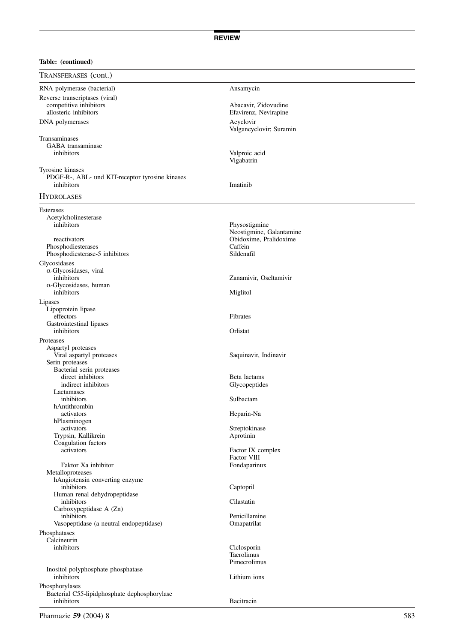| TRANSFERASES (cont.)                            |                                           |
|-------------------------------------------------|-------------------------------------------|
| RNA polymerase (bacterial)                      | Ansamycin                                 |
| Reverse transcriptases (viral)                  |                                           |
| competitive inhibitors                          | Abacavir, Zidovudine                      |
| allosteric inhibitors                           | Efavirenz, Nevirapine                     |
| DNA polymerases                                 | Acyclovir<br>Valgancyclovir; Suramin      |
| Transaminases                                   |                                           |
| GABA transaminase                               |                                           |
| inhibitors                                      | Valproic acid<br>Vigabatrin               |
| Tyrosine kinases                                |                                           |
| PDGF-R-, ABL- und KIT-receptor tyrosine kinases |                                           |
| inhibitors                                      | Imatinib                                  |
| <b>HYDROLASES</b>                               |                                           |
| Esterases                                       |                                           |
| Acetylcholinesterase                            |                                           |
| inhibitors                                      | Physostigmine<br>Neostigmine, Galantamine |
| reactivators                                    | Obidoxime, Pralidoxime                    |
| Phosphodiesterases                              | Caffein                                   |
| Phosphodiesterase-5 inhibitors                  | Sildenafil                                |
| Glycosidases                                    |                                           |
| $\alpha$ -Glycosidases, viral                   |                                           |
| inhibitors                                      | Zanamivir, Oseltamivir                    |
| $\alpha$ -Glycosidases, human                   |                                           |
| inhibitors                                      | Miglitol                                  |
| Lipases                                         |                                           |
| Lipoprotein lipase                              |                                           |
| effectors                                       | Fibrates                                  |
| Gastrointestinal lipases<br>inhibitors          | Orlistat                                  |
|                                                 |                                           |
| Proteases<br>Aspartyl proteases                 |                                           |
| Viral aspartyl proteases                        | Saquinavir, Indinavir                     |
| Serin proteases                                 |                                           |
| Bacterial serin proteases                       |                                           |
| direct inhibitors                               | Beta lactams                              |
| indirect inhibitors                             | Glycopeptides                             |
| Lactamases                                      |                                           |
| inhibitors<br>hAntithrombin                     | Sulbactam                                 |
| activators                                      | Heparin-Na                                |
| hPlasminogen                                    |                                           |
| activators                                      | Streptokinase                             |
| Trypsin, Kallikrein                             | Aprotinin                                 |
| Coagulation factors                             |                                           |
| activators                                      | Factor IX complex<br>Factor VIII          |
| Faktor Xa inhibitor                             | Fondaparinux                              |
| Metalloproteases                                |                                           |
| hAngiotensin converting enzyme                  |                                           |
| inhibitors                                      | Captopril                                 |
| Human renal dehydropeptidase                    |                                           |
| inhibitors                                      | Cilastatin                                |
| Carboxypeptidase A (Zn)<br>inhibitors           | Penicillamine                             |
| Vasopeptidase (a neutral endopeptidase)         | Omapatrilat                               |
|                                                 |                                           |
| Phosphatases<br>Calcineurin                     |                                           |
| inhibitors                                      | Ciclosporin                               |
|                                                 | Tacrolimus                                |
|                                                 | Pimecrolimus                              |
| Inositol polyphosphate phosphatase              |                                           |
| inhibitors                                      | Lithium ions                              |
| Phosphorylases                                  |                                           |
| Bacterial C55-lipidphosphate dephosphorylase    |                                           |
| inhibitors                                      | Bacitracin                                |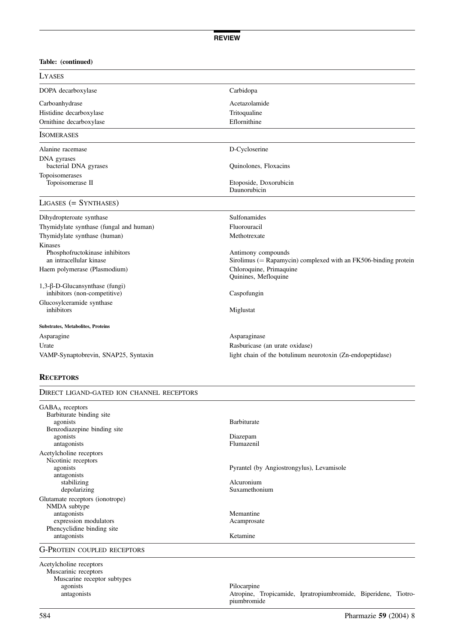| <b>LYASES</b>                                                               |                                                                                          |
|-----------------------------------------------------------------------------|------------------------------------------------------------------------------------------|
| DOPA decarboxylase                                                          | Carbidopa                                                                                |
| Carboanhydrase                                                              | Acetazolamide                                                                            |
| Histidine decarboxylase                                                     | Tritoqualine                                                                             |
| Ornithine decarboxylase                                                     | Eflornithine                                                                             |
| <b>ISOMERASES</b>                                                           |                                                                                          |
| Alanine racemase                                                            | D-Cycloserine                                                                            |
| DNA gyrases<br>bacterial DNA gyrases                                        | Quinolones, Floxacins                                                                    |
| Topoisomerases<br>Topoisomerase II                                          | Etoposide, Doxorubicin<br>Daunorubicin                                                   |
| $LIGASES (= SYNTHASES)$                                                     |                                                                                          |
| Dihydropteroate synthase                                                    | <b>Sulfonamides</b>                                                                      |
| Thymidylate synthase (fungal and human)                                     | Fluorouracil                                                                             |
| Thymidylate synthase (human)                                                | Methotrexate                                                                             |
| <b>Kinases</b><br>Phosphofructokinase inhibitors<br>an intracellular kinase | Antimony compounds<br>Sirolimus ( $=$ Rapamycin) complexed with an FK506-binding protein |
| Haem polymerase (Plasmodium)                                                | Chloroquine, Primaquine<br>Quinines, Mefloquine                                          |
| $1,3-\beta$ -D-Glucansynthase (fungi)<br>inhibitors (non-competitive)       | Caspofungin                                                                              |
| Glucosylceramide synthase<br>inhibitors                                     | Miglustat                                                                                |
| Substrates, Metabolites, Proteins                                           |                                                                                          |
| Asparagine                                                                  | Asparaginase                                                                             |
| Urate                                                                       | Rasburicase (an urate oxidase)                                                           |
| VAMP-Synaptobrevin, SNAP25, Syntaxin                                        | light chain of the botulinum neurotoxin (Zn-endopeptidase)                               |

### **RECEPTORS**

| DIRECT LIGAND-GATED ION CHANNEL RECEPTORS |                                                                |
|-------------------------------------------|----------------------------------------------------------------|
| GABA <sub>A</sub> receptors               |                                                                |
| Barbiturate binding site                  |                                                                |
| agonists                                  | <b>Barbiturate</b>                                             |
| Benzodiazepine binding site               |                                                                |
| agonists                                  | Diazepam                                                       |
| antagonists                               | Flumazenil                                                     |
| Acetylcholine receptors                   |                                                                |
| Nicotinic receptors                       |                                                                |
| agonists                                  | Pyrantel (by Angiostrongylus), Levamisole                      |
| antagonists                               |                                                                |
| stabilizing                               | Alcuronium                                                     |
| depolarizing                              | Suxamethonium                                                  |
| Glutamate receptors (ionotrope)           |                                                                |
| NMDA subtype                              |                                                                |
| antagonists                               | Memantine                                                      |
| expression modulators                     | Acamprosate                                                    |
| Phencyclidine binding site                |                                                                |
| antagonists                               | Ketamine                                                       |
| <b>G-PROTEIN COUPLED RECEPTORS</b>        |                                                                |
| Acetylcholine receptors                   |                                                                |
| Muscarinic receptors                      |                                                                |
| Muscarine receptor subtypes               |                                                                |
| agonists                                  | Pilocarpine                                                    |
| antagonists                               | Atropine, Tropicamide, Ipratropiumbromide, Biperidene, Tiotro- |
|                                           | piumbromide                                                    |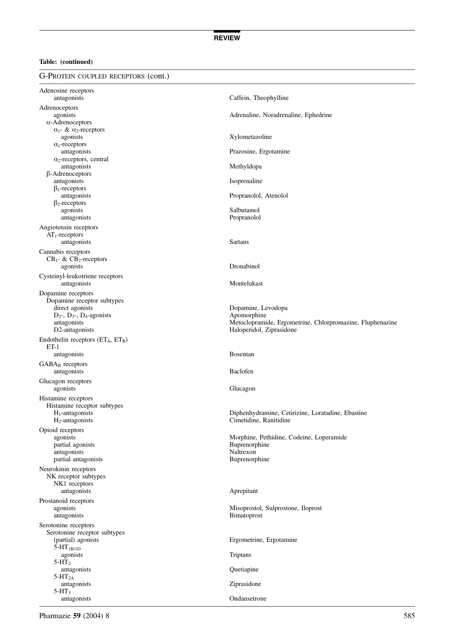G-Protein coupled receptors (cont.)

| Adenosine receptors<br>antagonists                   | Caffein, Theophylline                                                       |
|------------------------------------------------------|-----------------------------------------------------------------------------|
| Adrenoceptors                                        |                                                                             |
| agonists                                             | Adrenaline, Noradrenaline, Ephedrine                                        |
| $\alpha$ -Adrenoceptors                              |                                                                             |
| $\alpha_1$ - & $\alpha_2$ -receptors                 |                                                                             |
| agonists                                             | Xylometazoline                                                              |
| $\alpha_1$ -receptors<br>antagonists                 | Prazosine, Ergotamine                                                       |
| $\alpha_2$ -receptors, central                       |                                                                             |
| antagonists                                          | Methyldopa                                                                  |
| $\beta$ -Adrenoceptors                               |                                                                             |
| antagonists<br>$\beta_1$ -receptors                  | Isoprenaline                                                                |
| antagonists                                          | Propranolol, Atenolol                                                       |
| $\beta_2$ -receptors                                 |                                                                             |
| agonists                                             | Salbutamol                                                                  |
| antagonists                                          | Propranolol                                                                 |
| Angiotensin receptors<br>$AT_1$ -receptors           |                                                                             |
| antagonists                                          | <b>Sartans</b>                                                              |
| Cannabis receptors                                   |                                                                             |
| $CB_1$ - & $CB_2$ -receptors                         |                                                                             |
| agonists                                             | Dronabinol                                                                  |
| Cysteinyl-leukotriene receptors                      |                                                                             |
| antagonists                                          | Montelukast                                                                 |
| Dopamine receptors                                   |                                                                             |
| Dopamine receptor subtypes<br>direct agonists        | Dopamine, Levodopa                                                          |
| $D_2$ -, $D_3$ -, $D_4$ -agonists                    | Apomorphine                                                                 |
| antagonists                                          | Metoclopramide, Ergometrine, Chlorpromazine, Fluphenazine                   |
| D2-antagonists                                       | Haloperidol, Ziprasidone                                                    |
| Endothelin receptors $(ET_A, ET_B)$                  |                                                                             |
| $ET-1$<br>antagonists                                | <b>Bosentan</b>                                                             |
| $GABA_B$ receptors                                   |                                                                             |
| antagonists                                          | <b>Baclofen</b>                                                             |
| Glucagon receptors                                   |                                                                             |
| agonists                                             | Glucagon                                                                    |
| Histamine receptors                                  |                                                                             |
| Histamine receptor subtypes                          |                                                                             |
| $H_1$ -antagonists<br>$H_2$ -antagonists             | Diphenhydramine, Cetirizine, Loratadine, Ebastine<br>Cimetidine, Ranitidine |
| Opioid receptors                                     |                                                                             |
| agonists                                             | Morphine, Pethidine, Codeine, Loperamide                                    |
| partial agonists                                     | Buprenorphine                                                               |
| antagonists                                          | Naltrexon                                                                   |
| partial antagonists                                  | Buprenorphine                                                               |
| Neurokinin receptors<br>NK receptor subtypes         |                                                                             |
| NK1 receptors                                        |                                                                             |
| antagonists                                          | Aprepitant                                                                  |
| Prostanoid receptors                                 |                                                                             |
| agonists                                             | Misoprostol, Sulprostone, Iloprost                                          |
| antagonists                                          | Bimatoprost                                                                 |
| Serotonine receptors<br>Serotonine receptor subtypes |                                                                             |
| (partial) agonists                                   | Ergometrine, Ergotamine                                                     |
| $5-HT_{1B/1D}$                                       |                                                                             |
| agonists                                             | Triptans                                                                    |
| $5-HT_2$<br>antagonists                              | Quetiapine                                                                  |
| $5-HT_{2A}$                                          |                                                                             |
| antagonists                                          | Ziprasidone                                                                 |
| 5-HT <sub>3</sub><br>antagonists                     | Ondansetrone                                                                |
|                                                      |                                                                             |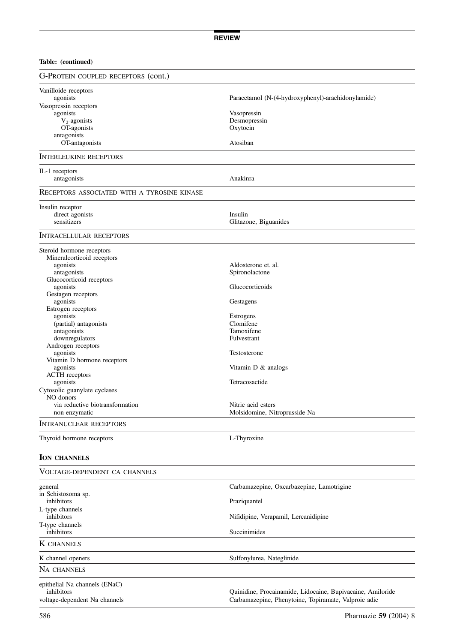| <b>G-PROTEIN COUPLED RECEPTORS (cont.)</b>       |                                                            |
|--------------------------------------------------|------------------------------------------------------------|
| Vanilloide receptors                             |                                                            |
| agonists                                         | Paracetamol (N-(4-hydroxyphenyl)-arachidonylamide)         |
| Vasopressin receptors                            |                                                            |
| agonists                                         | Vasopressin                                                |
| $V_2$ -agonists                                  | Desmopressin                                               |
| OT-agonists                                      | Oxytocin                                                   |
| antagonists                                      |                                                            |
| OT-antagonists                                   | Atosiban                                                   |
| <b>INTERLEUKINE RECEPTORS</b>                    |                                                            |
| IL-1 receptors                                   |                                                            |
| antagonists                                      | Anakinra                                                   |
| RECEPTORS ASSOCIATED WITH A TYROSINE KINASE      |                                                            |
| Insulin receptor                                 |                                                            |
| direct agonists<br>sensitizers                   | Insulin<br>Glitazone, Biguanides                           |
|                                                  |                                                            |
| <b>INTRACELLULAR RECEPTORS</b>                   |                                                            |
| Steroid hormone receptors                        |                                                            |
| Mineral<br>corticoid receptors                   |                                                            |
| agonists                                         | Aldosterone et. al.                                        |
| antagonists<br>Glucocorticoid receptors          | Spironolactone                                             |
| agonists                                         | Glucocorticoids                                            |
| Gestagen receptors                               |                                                            |
| agonists                                         | Gestagens                                                  |
| Estrogen receptors                               |                                                            |
| agonists                                         | Estrogens                                                  |
| (partial) antagonists                            | Clomifene                                                  |
| antagonists                                      | Tamoxifene                                                 |
| downregulators                                   | Fulvestrant                                                |
| Androgen receptors                               |                                                            |
| agonists                                         | Testosterone                                               |
| Vitamin D hormone receptors                      |                                                            |
| agonists                                         | Vitamin $D \&$ analogs                                     |
| <b>ACTH</b> receptors                            |                                                            |
| agonists                                         | Tetracosactide                                             |
| Cytosolic guanylate cyclases                     |                                                            |
| NO donors                                        |                                                            |
| via reductive biotransformation<br>non-enzymatic | Nitric acid esters<br>Molsidomine, Nitroprusside-Na        |
|                                                  |                                                            |
| <b>INTRANUCLEAR RECEPTORS</b>                    |                                                            |
| Thyroid hormone receptors                        | L-Thyroxine                                                |
| <b>ION CHANNELS</b>                              |                                                            |
| VOLTAGE-DEPENDENT CA CHANNELS                    |                                                            |
| general                                          | Carbamazepine, Oxcarbazepine, Lamotrigine                  |
| in Schistosoma sp.                               |                                                            |
| inhibitors                                       | Praziquantel                                               |
| L-type channels                                  |                                                            |
| inhibitors                                       | Nifidipine, Verapamil, Lercanidipine                       |
| T-type channels                                  |                                                            |
| inhibitors                                       | Succinimides                                               |
| <b>K</b> CHANNELS                                |                                                            |
| K channel openers                                | Sulfonylurea, Nateglinide                                  |
| Na channels                                      |                                                            |
| epithelial Na channels (ENaC)                    |                                                            |
| inhibitors                                       | Quinidine, Procainamide, Lidocaine, Bupivacaine, Amiloride |

voltage-dependent Na channels Carbamazepine, Phenytoine, Topiramate, Valproic adic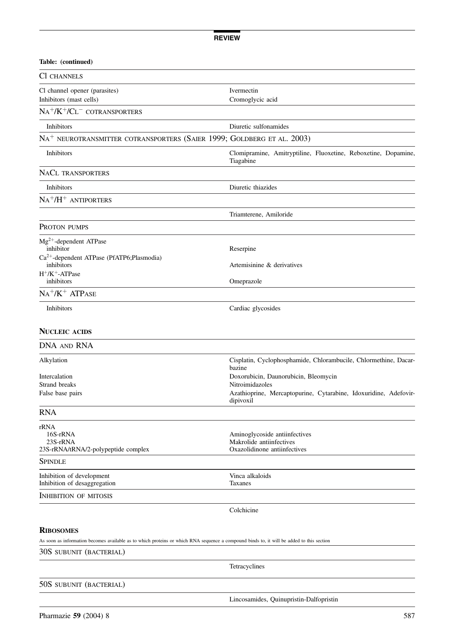| Table: (continued)                                                                                                                                            |                                                                                           |
|---------------------------------------------------------------------------------------------------------------------------------------------------------------|-------------------------------------------------------------------------------------------|
| CI CHANNELS                                                                                                                                                   |                                                                                           |
| Cl channel opener (parasites)<br>Inhibitors (mast cells)                                                                                                      | Ivermectin<br>Cromoglycic acid                                                            |
| $NA^{+}/K^{+}/CL^{-}$ cotransporters                                                                                                                          |                                                                                           |
| Inhibitors                                                                                                                                                    | Diuretic sulfonamides                                                                     |
| $\mathrm{NA}^+$ neurotransmitter cotransporters (Saier 1999; Goldberg et al. 2003)                                                                            |                                                                                           |
| Inhibitors                                                                                                                                                    | Clomipramine, Amitryptiline, Fluoxetine, Reboxetine, Dopamine,<br>Tiagabine               |
| <b>NACL TRANSPORTERS</b>                                                                                                                                      |                                                                                           |
| Inhibitors                                                                                                                                                    | Diuretic thiazides                                                                        |
| $NA^+/H^+$ ANTIPORTERS                                                                                                                                        |                                                                                           |
|                                                                                                                                                               | Triamterene, Amiloride                                                                    |
| Proton pumps                                                                                                                                                  |                                                                                           |
| Mg <sup>2+</sup> -dependent ATPase<br>inhibitor<br>Ca <sup>2+</sup> -dependent ATPase (PfATP6;Plasmodia)                                                      | Reserpine                                                                                 |
| inhibitors<br>$H^+$ / $K^+$ -ATPase                                                                                                                           | Artemisinine & derivatives                                                                |
| inhibitors                                                                                                                                                    | Omeprazole                                                                                |
| $NA^+/K^+ATPASE$                                                                                                                                              |                                                                                           |
| Inhibitors                                                                                                                                                    | Cardiac glycosides                                                                        |
| <b>NUCLEIC ACIDS</b>                                                                                                                                          |                                                                                           |
| DNA AND RNA                                                                                                                                                   |                                                                                           |
| Alkylation                                                                                                                                                    | Cisplatin, Cyclophosphamide, Chlorambucile, Chlormethine, Dacar-<br>bazine                |
| Intercalation<br><b>Strand breaks</b>                                                                                                                         | Doxorubicin, Daunorubicin, Bleomycin<br>Nitroimidazoles                                   |
| False base pairs                                                                                                                                              | Azathioprine, Mercaptopurine, Cytarabine, Idoxuridine, Adefovir-<br>dipivoxil             |
| <b>RNA</b>                                                                                                                                                    |                                                                                           |
| rRNA<br>16S-rRNA<br>23S-rRNA<br>23S-rRNA/tRNA/2-polypeptide complex                                                                                           | Aminoglycoside antiinfectives<br>Makrolide antiinfectives<br>Oxazolidinone antiinfectives |
| SPINDLE                                                                                                                                                       |                                                                                           |
| Inhibition of development<br>Inhibition of desaggregation                                                                                                     | Vinca alkaloids<br>Taxanes                                                                |
| INHIBITION OF MITOSIS                                                                                                                                         |                                                                                           |
|                                                                                                                                                               | Colchicine                                                                                |
| <b>RIBOSOMES</b><br>As soon as information becomes available as to which proteins or which RNA sequence a compound binds to, it will be added to this section |                                                                                           |
| 30S subunit (bacterial)                                                                                                                                       |                                                                                           |
|                                                                                                                                                               | Tetracyclines                                                                             |
|                                                                                                                                                               |                                                                                           |

50S subunit (bacterial)

Lincosamides, Quinupristin-Dalfopristin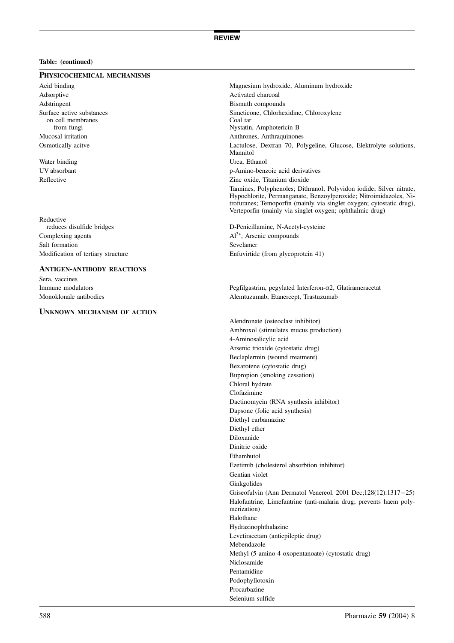### Physicochemical mechanisms

Adsorptive Activated charcoal Adstringent Bismuth compounds on cell membranes

Reductive<br>reduces disulfide bridges Complexing agents  $A<sup>3+</sup>$ , Arsenic compounds Salt formation Sevelamer

### Antigen-antibody reactions

Sera, vaccines

### Unknown mechanism of action

Acid binding **Magnesium hydroxide, Aluminum hydroxide** Surface active substances<br>
on cell membranes<br>  $\frac{1}{2}$  Coal tar from fungi Nystatin, Amphotericin B Mucosal irritation Anthrones, Anthraquinones Osmotically acitve Lactulose, Dextran 70, Polygeline, Glucose, Elektrolyte solutions, Mannitol Water binding Urea, Ethanol UV absorbant p-Amino-benzoic acid derivatives Reflective Zinc oxide, Titanium dioxide Tannines, Polyphenoles; Dithranol; Polyvidon iodide; Silver nitrate, Hypochlorite, Permanganate, Benzoylperoxide; Nitroimidazoles, Nitrofuranes; Temoporfin (mainly via singlet oxygen; cytostatic drug), Verteporfin (mainly via singlet oxygen; ophthalmic drug)

D-Penicillamine, N-Acetyl-cysteine Modification of tertiary structure Enfuvirtide (from glycoprotein 41)

Immune modulators Pegfilgastrim, pegylated Interferon-a2, Glatirameracetat Monoklonale antibodies **Alemtuzumab, Etanercept, Trastuzumab** 

> Alendronate (osteoclast inhibitor) Ambroxol (stimulates mucus production) 4-Aminosalicylic acid Arsenic trioxide (cytostatic drug) Beclaplermin (wound treatment) Bexarotene (cytostatic drug) Bupropion (smoking cessation) Chloral hydrate Clofazimine Dactinomycin (RNA synthesis inhibitor) Dapsone (folic acid synthesis) Diethyl carbamazine Diethyl ether Diloxanide Dinitric oxide Ethambutol Ezetimib (cholesterol absorbtion inhibitor) Gentian violet Ginkgolides Griseofulvin (Ann Dermatol Venereol. 2001 Dec;128(12):1317-25) Halofantrine, Limefantrine (anti-malaria drug; prevents haem polymerization) Halothane Hydrazinophthalazine Levetiracetam (antiepileptic drug) Mebendazole Methyl-(5-amino-4-oxopentanoate) (cytostatic drug) Niclosamide Pentamidine Podophyllotoxin Procarbazine Selenium sulfide